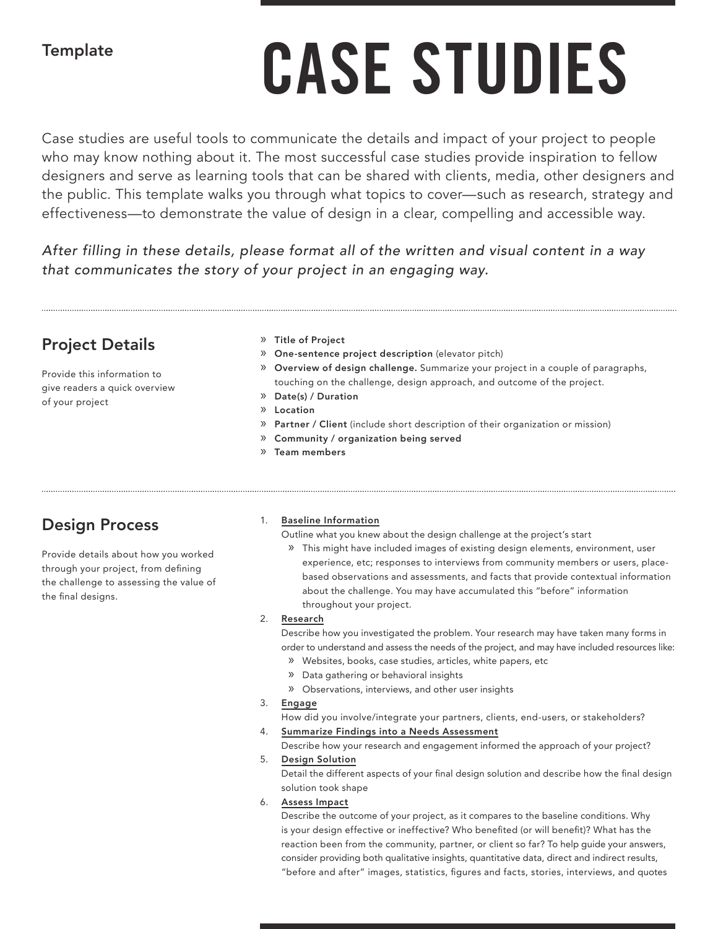## **Template**

# **CASE STUDIES**

Case studies are useful tools to communicate the details and impact of your project to people who may know nothing about it. The most successful case studies provide inspiration to fellow designers and serve as learning tools that can be shared with clients, media, other designers and the public. This template walks you through what topics to cover—such as research, strategy and effectiveness—to demonstrate the value of design in a clear, compelling and accessible way.

*After filling in these details, please format all of the written and visual content in a way that communicates the story of your project in an engaging way.* 

## Project Details

Provide this information to give readers a quick overview of your project

#### » Title of Project

- » One-sentence project description (elevator pitch)
- » Overview of design challenge. Summarize your project in a couple of paragraphs, touching on the challenge, design approach, and outcome of the project.
- » Date(s) / Duration
- » Location
- » Partner / Client (include short description of their organization or mission)
- » Community / organization being served
- » Team members

# Design Process

Provide details about how you worked through your project, from defining the challenge to assessing the value of the final designs.

#### Baseline Information

Outline what you knew about the design challenge at the project's start

» This might have included images of existing design elements, environment, user experience, etc; responses to interviews from community members or users, placebased observations and assessments, and facts that provide contextual information about the challenge. You may have accumulated this "before" information throughout your project.

#### 2. Research

Describe how you investigated the problem. Your research may have taken many forms in order to understand and assess the needs of the project, and may have included resources like:

- » Websites, books, case studies, articles, white papers, etc
- » Data gathering or behavioral insights
- » Observations, interviews, and other user insights

#### 3. Engage

How did you involve/integrate your partners, clients, end-users, or stakeholders?

#### 4. Summarize Findings into a Needs Assessment

Describe how your research and engagement informed the approach of your project?

### 5. Design Solution

Detail the different aspects of your final design solution and describe how the final design solution took shape

#### 6. Assess Impact

Describe the outcome of your project, as it compares to the baseline conditions. Why is your design effective or ineffective? Who benefited (or will benefit)? What has the reaction been from the community, partner, or client so far? To help guide your answers, consider providing both qualitative insights, quantitative data, direct and indirect results, "before and after" images, statistics, figures and facts, stories, interviews, and quotes